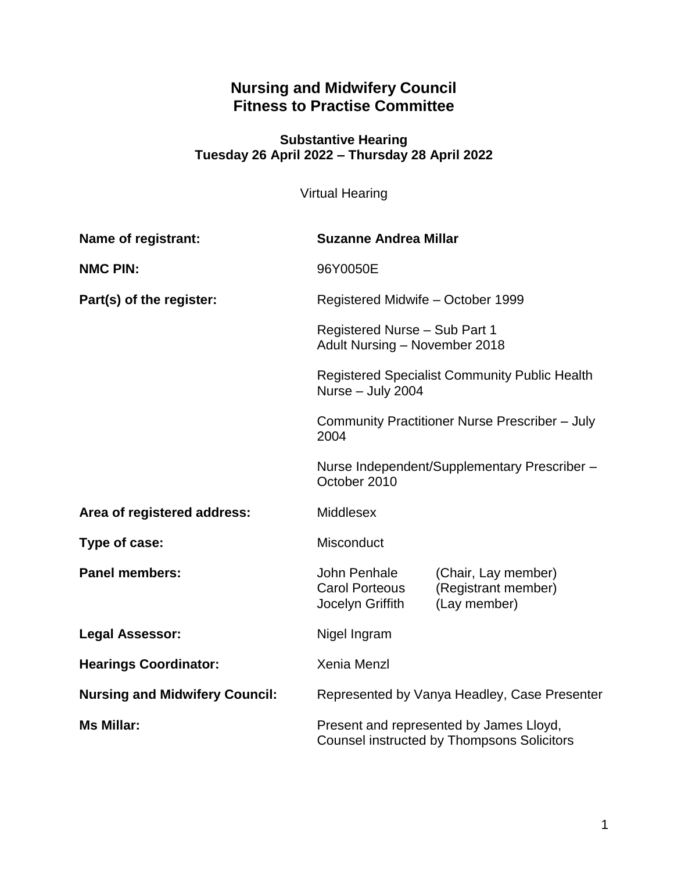## **Nursing and Midwifery Council Fitness to Practise Committee**

### **Substantive Hearing Tuesday 26 April 2022 – Thursday 28 April 2022**

Virtual Hearing

| <b>Name of registrant:</b>            | <b>Suzanne Andrea Millar</b>                                                                                                                                              |                                                            |
|---------------------------------------|---------------------------------------------------------------------------------------------------------------------------------------------------------------------------|------------------------------------------------------------|
| <b>NMC PIN:</b>                       | 96Y0050E                                                                                                                                                                  |                                                            |
| Part(s) of the register:              | Registered Midwife - October 1999<br>Registered Nurse - Sub Part 1<br>Adult Nursing - November 2018<br>Registered Specialist Community Public Health<br>Nurse - July 2004 |                                                            |
|                                       |                                                                                                                                                                           |                                                            |
|                                       |                                                                                                                                                                           |                                                            |
|                                       | Community Practitioner Nurse Prescriber - July<br>2004                                                                                                                    |                                                            |
|                                       | Nurse Independent/Supplementary Prescriber -<br>October 2010                                                                                                              |                                                            |
| Area of registered address:           | <b>Middlesex</b>                                                                                                                                                          |                                                            |
| Type of case:                         | <b>Misconduct</b>                                                                                                                                                         |                                                            |
| <b>Panel members:</b>                 | John Penhale<br><b>Carol Porteous</b><br>Jocelyn Griffith                                                                                                                 | (Chair, Lay member)<br>(Registrant member)<br>(Lay member) |
| <b>Legal Assessor:</b>                | Nigel Ingram                                                                                                                                                              |                                                            |
| <b>Hearings Coordinator:</b>          | <b>Xenia Menzl</b>                                                                                                                                                        |                                                            |
| <b>Nursing and Midwifery Council:</b> | Represented by Vanya Headley, Case Presenter                                                                                                                              |                                                            |
| <b>Ms Millar:</b>                     | Present and represented by James Lloyd,<br><b>Counsel instructed by Thompsons Solicitors</b>                                                                              |                                                            |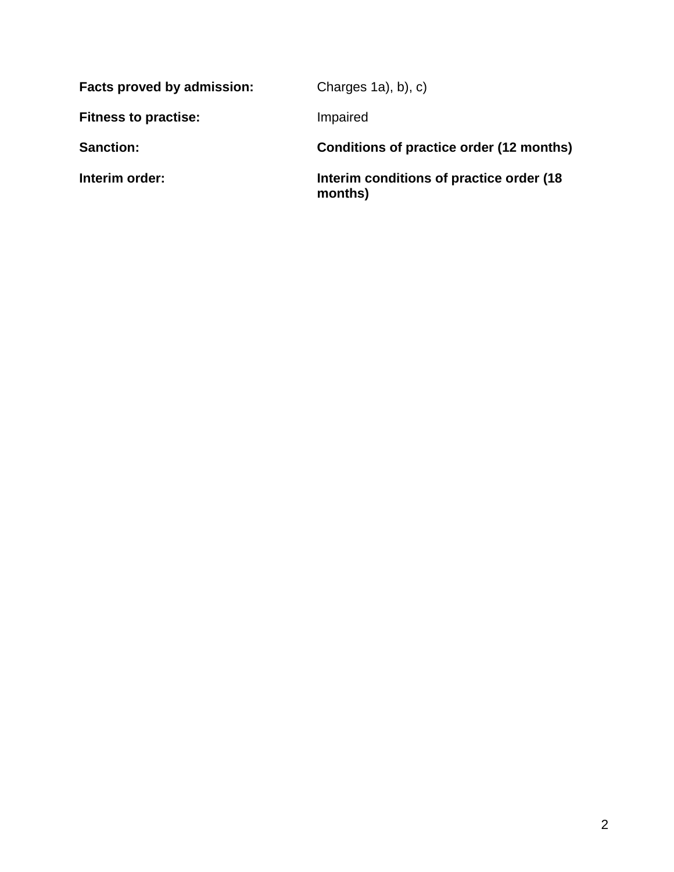| Charges $1a$ , b), c)                                |  |
|------------------------------------------------------|--|
| Impaired                                             |  |
| Conditions of practice order (12 months)             |  |
| Interim conditions of practice order (18)<br>months) |  |
|                                                      |  |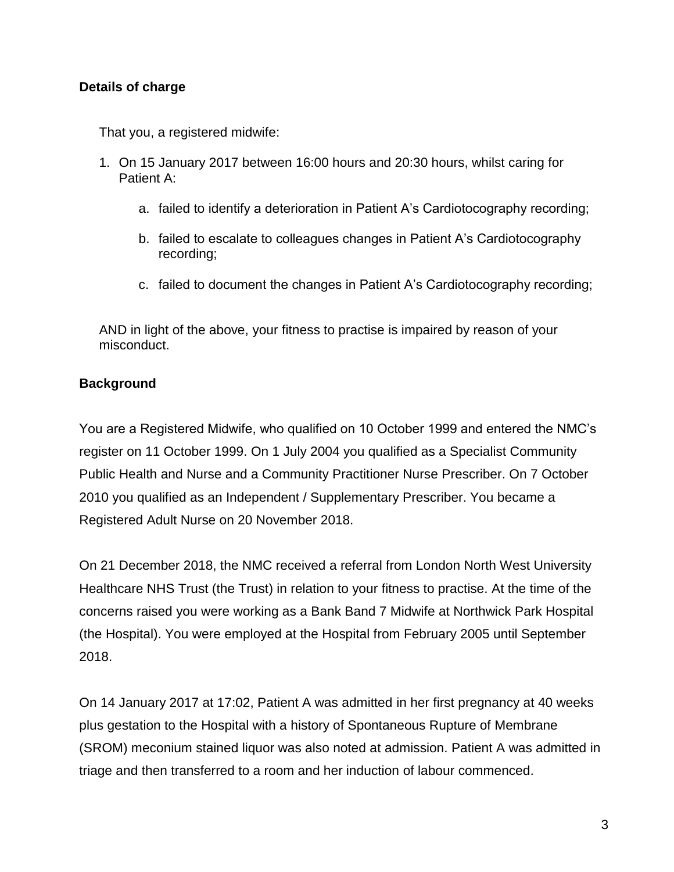### **Details of charge**

That you, a registered midwife:

- 1. On 15 January 2017 between 16:00 hours and 20:30 hours, whilst caring for Patient A:
	- a. failed to identify a deterioration in Patient A's Cardiotocography recording;
	- b. failed to escalate to colleagues changes in Patient A's Cardiotocography recording;
	- c. failed to document the changes in Patient A's Cardiotocography recording;

AND in light of the above, your fitness to practise is impaired by reason of your misconduct.

#### **Background**

You are a Registered Midwife, who qualified on 10 October 1999 and entered the NMC's register on 11 October 1999. On 1 July 2004 you qualified as a Specialist Community Public Health and Nurse and a Community Practitioner Nurse Prescriber. On 7 October 2010 you qualified as an Independent / Supplementary Prescriber. You became a Registered Adult Nurse on 20 November 2018.

On 21 December 2018, the NMC received a referral from London North West University Healthcare NHS Trust (the Trust) in relation to your fitness to practise. At the time of the concerns raised you were working as a Bank Band 7 Midwife at Northwick Park Hospital (the Hospital). You were employed at the Hospital from February 2005 until September 2018.

On 14 January 2017 at 17:02, Patient A was admitted in her first pregnancy at 40 weeks plus gestation to the Hospital with a history of Spontaneous Rupture of Membrane (SROM) meconium stained liquor was also noted at admission. Patient A was admitted in triage and then transferred to a room and her induction of labour commenced.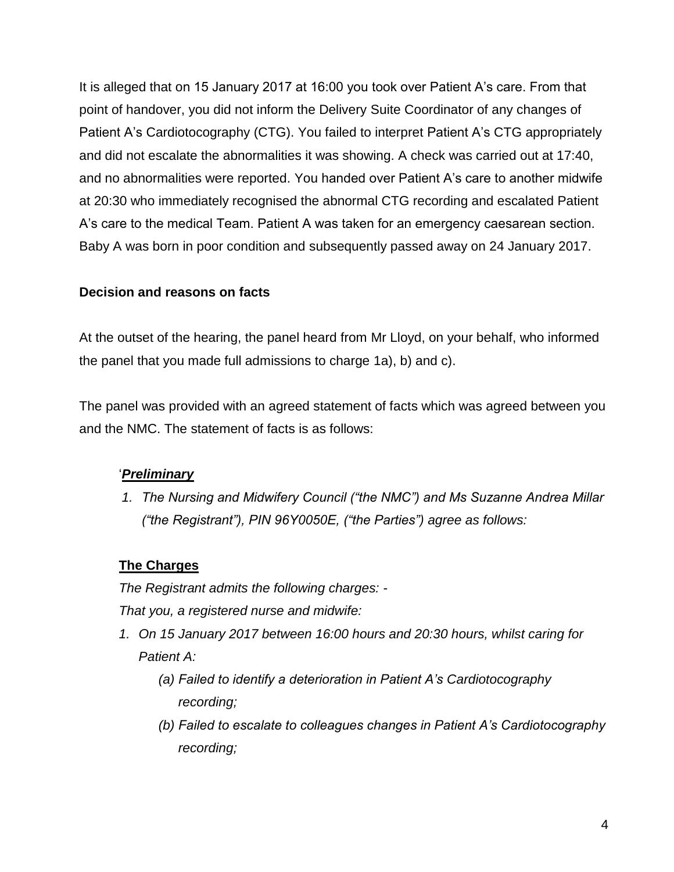It is alleged that on 15 January 2017 at 16:00 you took over Patient A's care. From that point of handover, you did not inform the Delivery Suite Coordinator of any changes of Patient A's Cardiotocography (CTG). You failed to interpret Patient A's CTG appropriately and did not escalate the abnormalities it was showing. A check was carried out at 17:40, and no abnormalities were reported. You handed over Patient A's care to another midwife at 20:30 who immediately recognised the abnormal CTG recording and escalated Patient A's care to the medical Team. Patient A was taken for an emergency caesarean section. Baby A was born in poor condition and subsequently passed away on 24 January 2017.

### **Decision and reasons on facts**

At the outset of the hearing, the panel heard from Mr Lloyd, on your behalf, who informed the panel that you made full admissions to charge 1a), b) and c).

The panel was provided with an agreed statement of facts which was agreed between you and the NMC. The statement of facts is as follows:

## '*Preliminary*

*1. The Nursing and Midwifery Council ("the NMC") and Ms Suzanne Andrea Millar ("the Registrant"), PIN 96Y0050E, ("the Parties") agree as follows:*

### **The Charges**

*The Registrant admits the following charges: -*

*That you, a registered nurse and midwife:*

- *1. On 15 January 2017 between 16:00 hours and 20:30 hours, whilst caring for Patient A:*
	- *(a) Failed to identify a deterioration in Patient A's Cardiotocography recording;*
	- *(b) Failed to escalate to colleagues changes in Patient A's Cardiotocography recording;*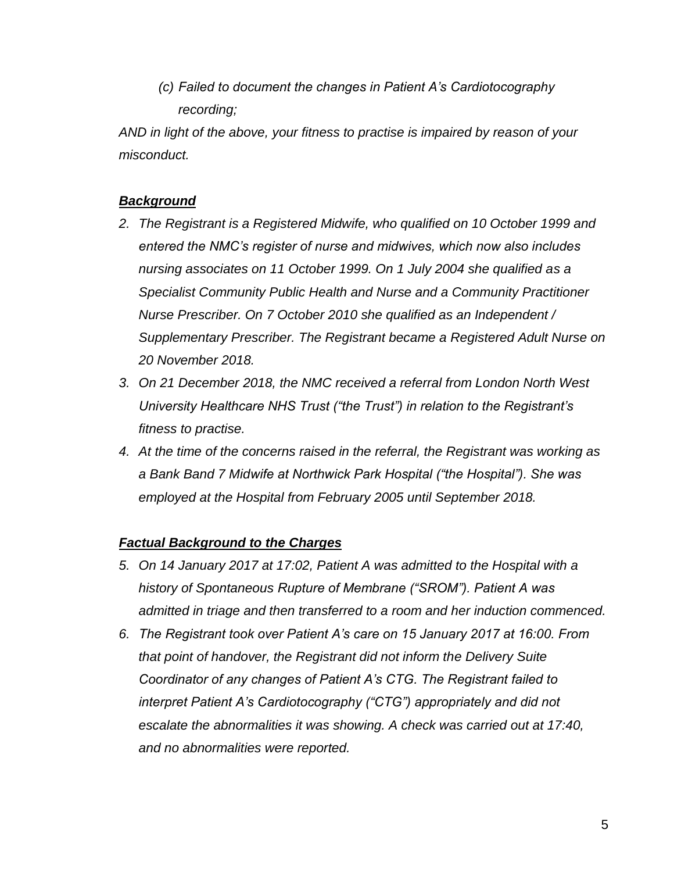*(c) Failed to document the changes in Patient A's Cardiotocography recording;*

*AND in light of the above, your fitness to practise is impaired by reason of your misconduct.*

### *Background*

- *2. The Registrant is a Registered Midwife, who qualified on 10 October 1999 and entered the NMC's register of nurse and midwives, which now also includes nursing associates on 11 October 1999. On 1 July 2004 she qualified as a Specialist Community Public Health and Nurse and a Community Practitioner Nurse Prescriber. On 7 October 2010 she qualified as an Independent / Supplementary Prescriber. The Registrant became a Registered Adult Nurse on 20 November 2018.*
- *3. On 21 December 2018, the NMC received a referral from London North West University Healthcare NHS Trust ("the Trust") in relation to the Registrant's fitness to practise.*
- *4. At the time of the concerns raised in the referral, the Registrant was working as a Bank Band 7 Midwife at Northwick Park Hospital ("the Hospital"). She was employed at the Hospital from February 2005 until September 2018.*

### *Factual Background to the Charges*

- *5. On 14 January 2017 at 17:02, Patient A was admitted to the Hospital with a history of Spontaneous Rupture of Membrane ("SROM"). Patient A was admitted in triage and then transferred to a room and her induction commenced.*
- *6. The Registrant took over Patient A's care on 15 January 2017 at 16:00. From that point of handover, the Registrant did not inform the Delivery Suite Coordinator of any changes of Patient A's CTG. The Registrant failed to interpret Patient A's Cardiotocography ("CTG") appropriately and did not escalate the abnormalities it was showing. A check was carried out at 17:40, and no abnormalities were reported.*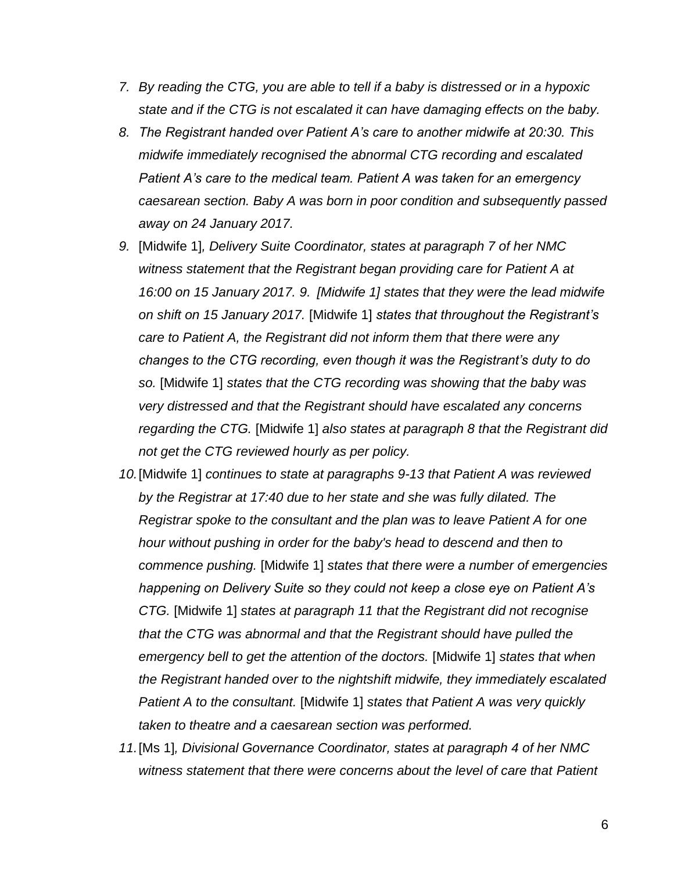- *7. By reading the CTG, you are able to tell if a baby is distressed or in a hypoxic state and if the CTG is not escalated it can have damaging effects on the baby.*
- *8. The Registrant handed over Patient A's care to another midwife at 20:30. This midwife immediately recognised the abnormal CTG recording and escalated Patient A's care to the medical team. Patient A was taken for an emergency caesarean section. Baby A was born in poor condition and subsequently passed away on 24 January 2017.*
- *9.* [Midwife 1]*, Delivery Suite Coordinator, states at paragraph 7 of her NMC witness statement that the Registrant began providing care for Patient A at 16:00 on 15 January 2017. 9. [Midwife 1] states that they were the lead midwife on shift on 15 January 2017.* [Midwife 1] *states that throughout the Registrant's care to Patient A, the Registrant did not inform them that there were any changes to the CTG recording, even though it was the Registrant's duty to do so.* [Midwife 1] *states that the CTG recording was showing that the baby was very distressed and that the Registrant should have escalated any concerns regarding the CTG.* [Midwife 1] *also states at paragraph 8 that the Registrant did not get the CTG reviewed hourly as per policy.*
- *10.*[Midwife 1] *continues to state at paragraphs 9-13 that Patient A was reviewed by the Registrar at 17:40 due to her state and she was fully dilated. The Registrar spoke to the consultant and the plan was to leave Patient A for one hour without pushing in order for the baby's head to descend and then to commence pushing.* [Midwife 1] *states that there were a number of emergencies happening on Delivery Suite so they could not keep a close eye on Patient A's CTG.* [Midwife 1] *states at paragraph 11 that the Registrant did not recognise that the CTG was abnormal and that the Registrant should have pulled the emergency bell to get the attention of the doctors.* [Midwife 1] *states that when the Registrant handed over to the nightshift midwife, they immediately escalated Patient A to the consultant.* [Midwife 1] *states that Patient A was very quickly taken to theatre and a caesarean section was performed.*
- *11.*[Ms 1]*, Divisional Governance Coordinator, states at paragraph 4 of her NMC witness statement that there were concerns about the level of care that Patient*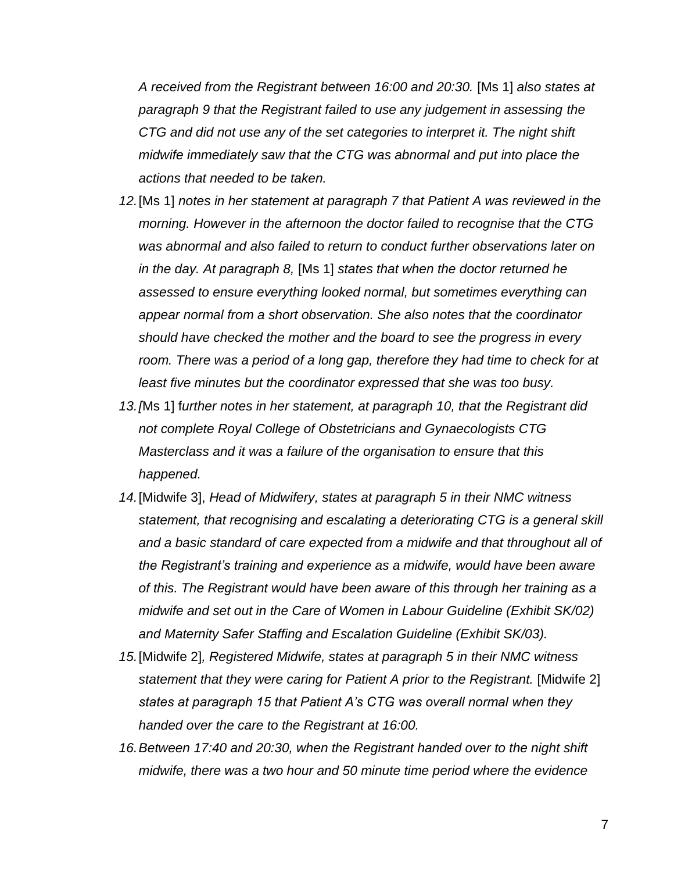*A received from the Registrant between 16:00 and 20:30.* [Ms 1] *also states at paragraph 9 that the Registrant failed to use any judgement in assessing the CTG and did not use any of the set categories to interpret it. The night shift midwife immediately saw that the CTG was abnormal and put into place the actions that needed to be taken.*

- *12.*[Ms 1] *notes in her statement at paragraph 7 that Patient A was reviewed in the morning. However in the afternoon the doctor failed to recognise that the CTG was abnormal and also failed to return to conduct further observations later on in the day. At paragraph 8,* [Ms 1] *states that when the doctor returned he assessed to ensure everything looked normal, but sometimes everything can appear normal from a short observation. She also notes that the coordinator should have checked the mother and the board to see the progress in every*  room. There was a period of a long gap, therefore they had time to check for at *least five minutes but the coordinator expressed that she was too busy.*
- *13.[*Ms 1] f*urther notes in her statement, at paragraph 10, that the Registrant did not complete Royal College of Obstetricians and Gynaecologists CTG Masterclass and it was a failure of the organisation to ensure that this happened.*
- *14.*[Midwife 3], *Head of Midwifery, states at paragraph 5 in their NMC witness statement, that recognising and escalating a deteriorating CTG is a general skill and a basic standard of care expected from a midwife and that throughout all of the Registrant's training and experience as a midwife, would have been aware of this. The Registrant would have been aware of this through her training as a midwife and set out in the Care of Women in Labour Guideline (Exhibit SK/02) and Maternity Safer Staffing and Escalation Guideline (Exhibit SK/03).*
- *15.*[Midwife 2]*, Registered Midwife, states at paragraph 5 in their NMC witness statement that they were caring for Patient A prior to the Registrant.* [Midwife 2] *states at paragraph 15 that Patient A's CTG was overall normal when they handed over the care to the Registrant at 16:00.*
- *16.Between 17:40 and 20:30, when the Registrant handed over to the night shift midwife, there was a two hour and 50 minute time period where the evidence*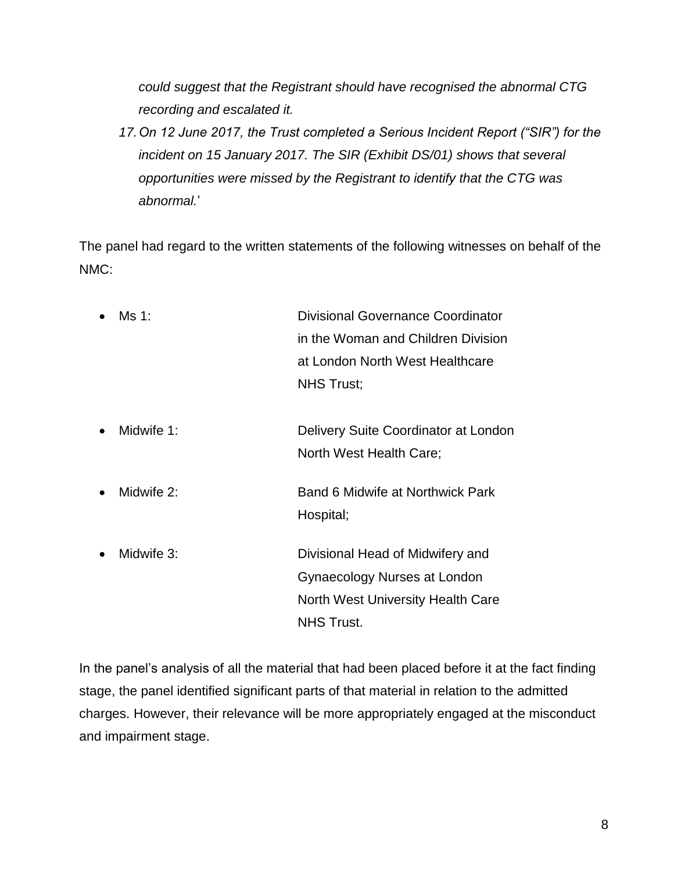*could suggest that the Registrant should have recognised the abnormal CTG recording and escalated it.*

*17.On 12 June 2017, the Trust completed a Serious Incident Report ("SIR") for the incident on 15 January 2017. The SIR (Exhibit DS/01) shows that several opportunities were missed by the Registrant to identify that the CTG was abnormal.*'

The panel had regard to the written statements of the following witnesses on behalf of the NMC:

 Ms 1: Divisional Governance Coordinator in the Woman and Children Division at London North West Healthcare NHS Trust; Midwife 1: Delivery Suite Coordinator at London North West Health Care; • Midwife 2: Band 6 Midwife at Northwick Park Hospital; Midwife 3: Divisional Head of Midwifery and Gynaecology Nurses at London North West University Health Care NHS Trust.

In the panel's analysis of all the material that had been placed before it at the fact finding stage, the panel identified significant parts of that material in relation to the admitted charges. However, their relevance will be more appropriately engaged at the misconduct and impairment stage.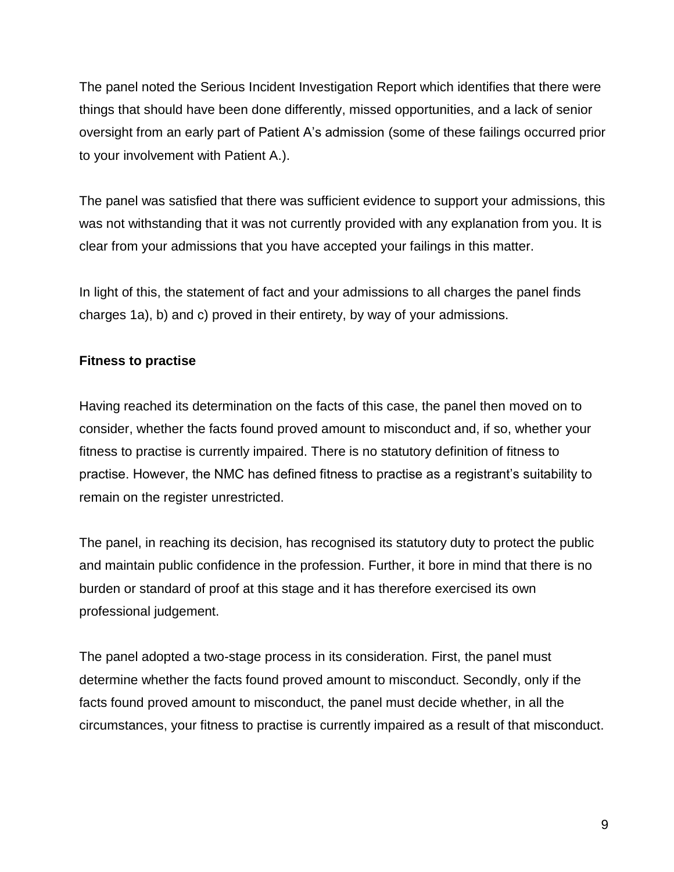The panel noted the Serious Incident Investigation Report which identifies that there were things that should have been done differently, missed opportunities, and a lack of senior oversight from an early part of Patient A's admission (some of these failings occurred prior to your involvement with Patient A.).

The panel was satisfied that there was sufficient evidence to support your admissions, this was not withstanding that it was not currently provided with any explanation from you. It is clear from your admissions that you have accepted your failings in this matter.

In light of this, the statement of fact and your admissions to all charges the panel finds charges 1a), b) and c) proved in their entirety, by way of your admissions.

### **Fitness to practise**

Having reached its determination on the facts of this case, the panel then moved on to consider, whether the facts found proved amount to misconduct and, if so, whether your fitness to practise is currently impaired. There is no statutory definition of fitness to practise. However, the NMC has defined fitness to practise as a registrant's suitability to remain on the register unrestricted.

The panel, in reaching its decision, has recognised its statutory duty to protect the public and maintain public confidence in the profession. Further, it bore in mind that there is no burden or standard of proof at this stage and it has therefore exercised its own professional judgement.

The panel adopted a two-stage process in its consideration. First, the panel must determine whether the facts found proved amount to misconduct. Secondly, only if the facts found proved amount to misconduct, the panel must decide whether, in all the circumstances, your fitness to practise is currently impaired as a result of that misconduct.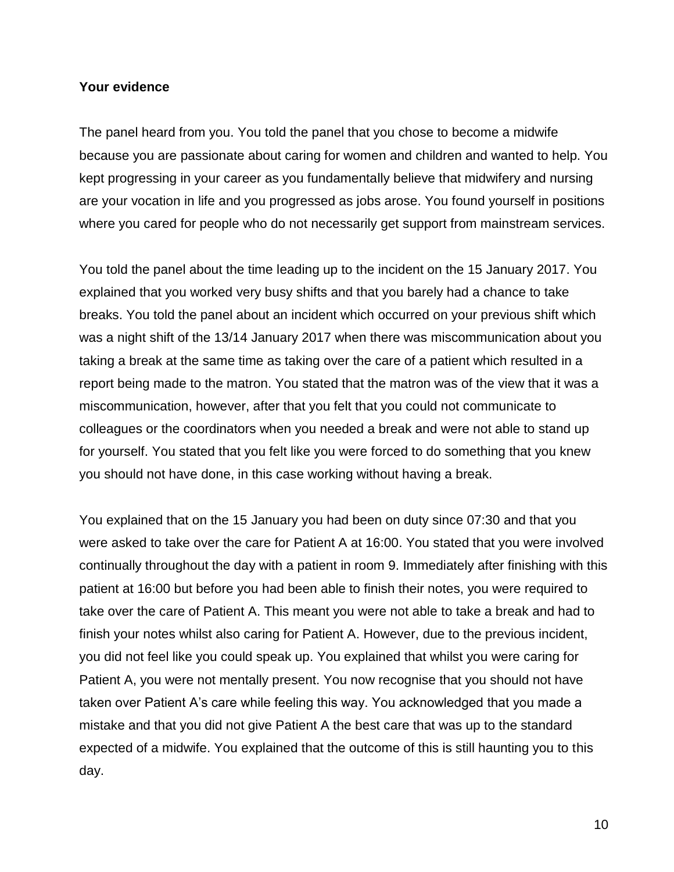#### **Your evidence**

The panel heard from you. You told the panel that you chose to become a midwife because you are passionate about caring for women and children and wanted to help. You kept progressing in your career as you fundamentally believe that midwifery and nursing are your vocation in life and you progressed as jobs arose. You found yourself in positions where you cared for people who do not necessarily get support from mainstream services.

You told the panel about the time leading up to the incident on the 15 January 2017. You explained that you worked very busy shifts and that you barely had a chance to take breaks. You told the panel about an incident which occurred on your previous shift which was a night shift of the 13/14 January 2017 when there was miscommunication about you taking a break at the same time as taking over the care of a patient which resulted in a report being made to the matron. You stated that the matron was of the view that it was a miscommunication, however, after that you felt that you could not communicate to colleagues or the coordinators when you needed a break and were not able to stand up for yourself. You stated that you felt like you were forced to do something that you knew you should not have done, in this case working without having a break.

You explained that on the 15 January you had been on duty since 07:30 and that you were asked to take over the care for Patient A at 16:00. You stated that you were involved continually throughout the day with a patient in room 9. Immediately after finishing with this patient at 16:00 but before you had been able to finish their notes, you were required to take over the care of Patient A. This meant you were not able to take a break and had to finish your notes whilst also caring for Patient A. However, due to the previous incident, you did not feel like you could speak up. You explained that whilst you were caring for Patient A, you were not mentally present. You now recognise that you should not have taken over Patient A's care while feeling this way. You acknowledged that you made a mistake and that you did not give Patient A the best care that was up to the standard expected of a midwife. You explained that the outcome of this is still haunting you to this day.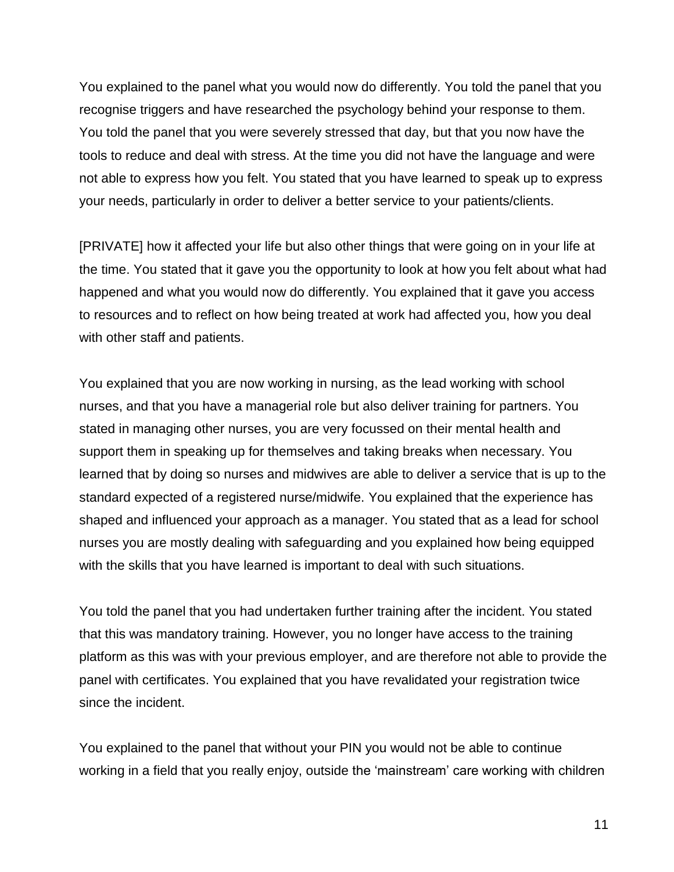You explained to the panel what you would now do differently. You told the panel that you recognise triggers and have researched the psychology behind your response to them. You told the panel that you were severely stressed that day, but that you now have the tools to reduce and deal with stress. At the time you did not have the language and were not able to express how you felt. You stated that you have learned to speak up to express your needs, particularly in order to deliver a better service to your patients/clients.

[PRIVATE] how it affected your life but also other things that were going on in your life at the time. You stated that it gave you the opportunity to look at how you felt about what had happened and what you would now do differently. You explained that it gave you access to resources and to reflect on how being treated at work had affected you, how you deal with other staff and patients.

You explained that you are now working in nursing, as the lead working with school nurses, and that you have a managerial role but also deliver training for partners. You stated in managing other nurses, you are very focussed on their mental health and support them in speaking up for themselves and taking breaks when necessary. You learned that by doing so nurses and midwives are able to deliver a service that is up to the standard expected of a registered nurse/midwife. You explained that the experience has shaped and influenced your approach as a manager. You stated that as a lead for school nurses you are mostly dealing with safeguarding and you explained how being equipped with the skills that you have learned is important to deal with such situations.

You told the panel that you had undertaken further training after the incident. You stated that this was mandatory training. However, you no longer have access to the training platform as this was with your previous employer, and are therefore not able to provide the panel with certificates. You explained that you have revalidated your registration twice since the incident.

You explained to the panel that without your PIN you would not be able to continue working in a field that you really enjoy, outside the 'mainstream' care working with children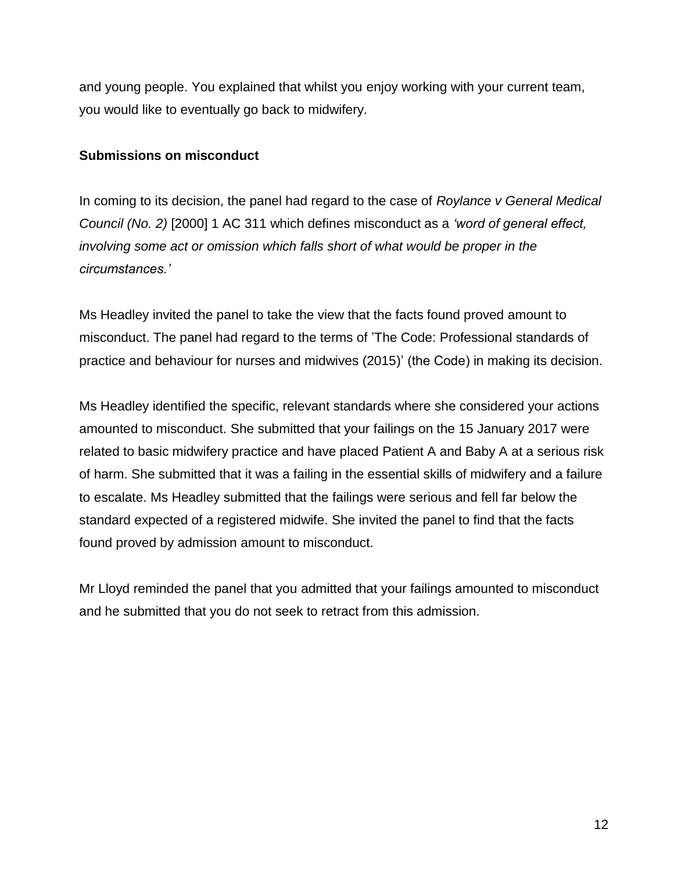and young people. You explained that whilst you enjoy working with your current team, you would like to eventually go back to midwifery.

### **Submissions on misconduct**

In coming to its decision, the panel had regard to the case of *Roylance v General Medical Council (No. 2)* [2000] 1 AC 311 which defines misconduct as a *'word of general effect, involving some act or omission which falls short of what would be proper in the circumstances.'*

Ms Headley invited the panel to take the view that the facts found proved amount to misconduct. The panel had regard to the terms of 'The Code: Professional standards of practice and behaviour for nurses and midwives (2015)' (the Code) in making its decision.

Ms Headley identified the specific, relevant standards where she considered your actions amounted to misconduct. She submitted that your failings on the 15 January 2017 were related to basic midwifery practice and have placed Patient A and Baby A at a serious risk of harm. She submitted that it was a failing in the essential skills of midwifery and a failure to escalate. Ms Headley submitted that the failings were serious and fell far below the standard expected of a registered midwife. She invited the panel to find that the facts found proved by admission amount to misconduct.

Mr Lloyd reminded the panel that you admitted that your failings amounted to misconduct and he submitted that you do not seek to retract from this admission.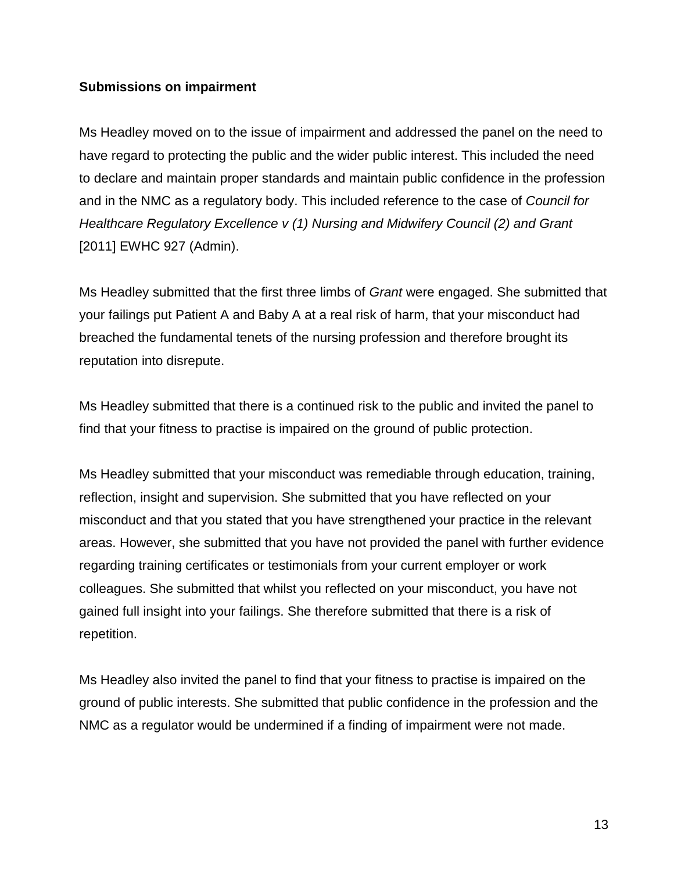### **Submissions on impairment**

Ms Headley moved on to the issue of impairment and addressed the panel on the need to have regard to protecting the public and the wider public interest. This included the need to declare and maintain proper standards and maintain public confidence in the profession and in the NMC as a regulatory body. This included reference to the case of *Council for Healthcare Regulatory Excellence v (1) Nursing and Midwifery Council (2) and Grant*  [2011] EWHC 927 (Admin).

Ms Headley submitted that the first three limbs of *Grant* were engaged. She submitted that your failings put Patient A and Baby A at a real risk of harm, that your misconduct had breached the fundamental tenets of the nursing profession and therefore brought its reputation into disrepute.

Ms Headley submitted that there is a continued risk to the public and invited the panel to find that your fitness to practise is impaired on the ground of public protection.

Ms Headley submitted that your misconduct was remediable through education, training, reflection, insight and supervision. She submitted that you have reflected on your misconduct and that you stated that you have strengthened your practice in the relevant areas. However, she submitted that you have not provided the panel with further evidence regarding training certificates or testimonials from your current employer or work colleagues. She submitted that whilst you reflected on your misconduct, you have not gained full insight into your failings. She therefore submitted that there is a risk of repetition.

Ms Headley also invited the panel to find that your fitness to practise is impaired on the ground of public interests. She submitted that public confidence in the profession and the NMC as a regulator would be undermined if a finding of impairment were not made.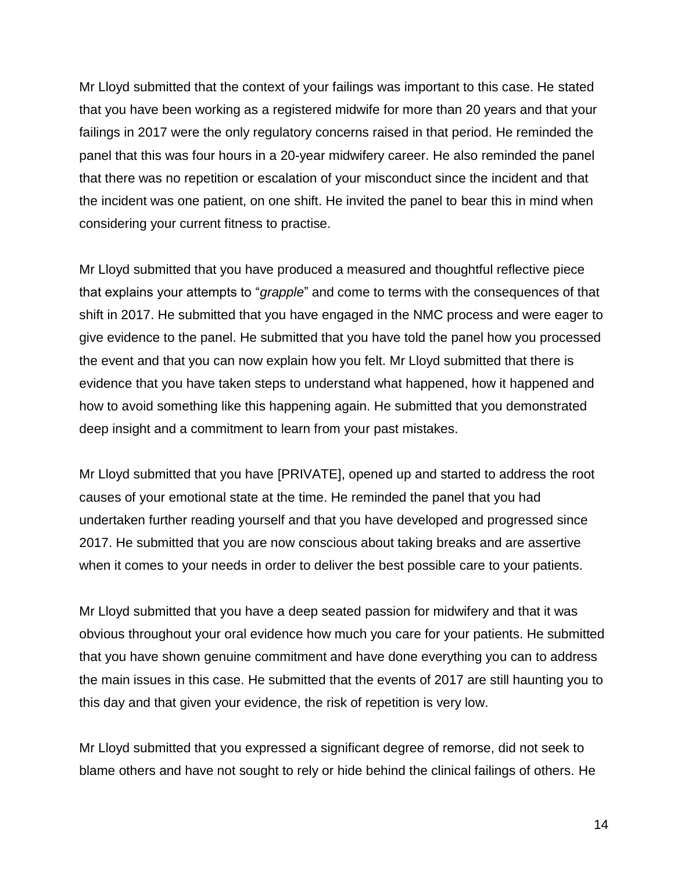Mr Lloyd submitted that the context of your failings was important to this case. He stated that you have been working as a registered midwife for more than 20 years and that your failings in 2017 were the only regulatory concerns raised in that period. He reminded the panel that this was four hours in a 20-year midwifery career. He also reminded the panel that there was no repetition or escalation of your misconduct since the incident and that the incident was one patient, on one shift. He invited the panel to bear this in mind when considering your current fitness to practise.

Mr Lloyd submitted that you have produced a measured and thoughtful reflective piece that explains your attempts to "*grapple*" and come to terms with the consequences of that shift in 2017. He submitted that you have engaged in the NMC process and were eager to give evidence to the panel. He submitted that you have told the panel how you processed the event and that you can now explain how you felt. Mr Lloyd submitted that there is evidence that you have taken steps to understand what happened, how it happened and how to avoid something like this happening again. He submitted that you demonstrated deep insight and a commitment to learn from your past mistakes.

Mr Lloyd submitted that you have [PRIVATE], opened up and started to address the root causes of your emotional state at the time. He reminded the panel that you had undertaken further reading yourself and that you have developed and progressed since 2017. He submitted that you are now conscious about taking breaks and are assertive when it comes to your needs in order to deliver the best possible care to your patients.

Mr Lloyd submitted that you have a deep seated passion for midwifery and that it was obvious throughout your oral evidence how much you care for your patients. He submitted that you have shown genuine commitment and have done everything you can to address the main issues in this case. He submitted that the events of 2017 are still haunting you to this day and that given your evidence, the risk of repetition is very low.

Mr Lloyd submitted that you expressed a significant degree of remorse, did not seek to blame others and have not sought to rely or hide behind the clinical failings of others. He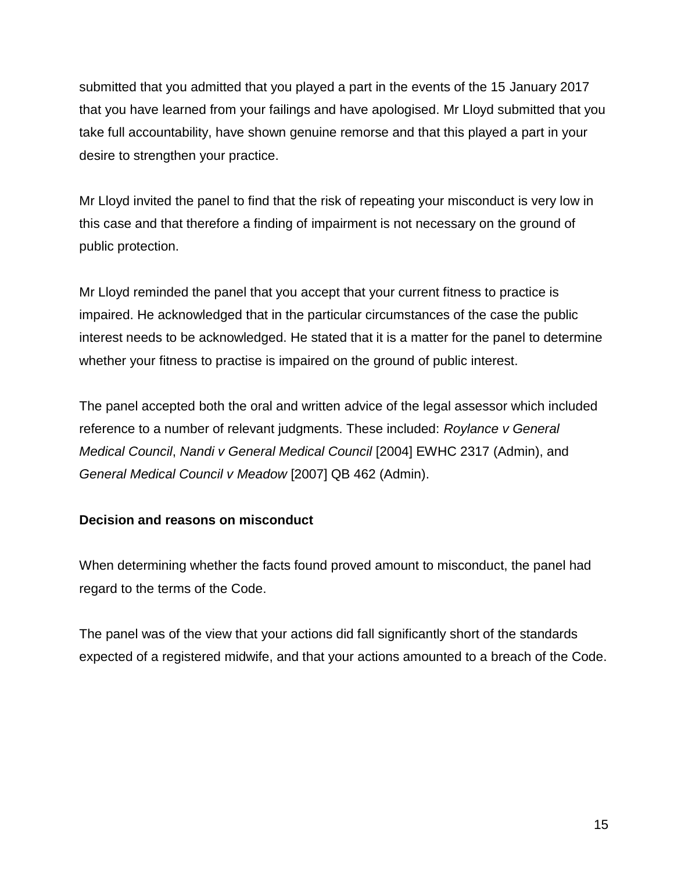submitted that you admitted that you played a part in the events of the 15 January 2017 that you have learned from your failings and have apologised. Mr Lloyd submitted that you take full accountability, have shown genuine remorse and that this played a part in your desire to strengthen your practice.

Mr Lloyd invited the panel to find that the risk of repeating your misconduct is very low in this case and that therefore a finding of impairment is not necessary on the ground of public protection.

Mr Lloyd reminded the panel that you accept that your current fitness to practice is impaired. He acknowledged that in the particular circumstances of the case the public interest needs to be acknowledged. He stated that it is a matter for the panel to determine whether your fitness to practise is impaired on the ground of public interest.

The panel accepted both the oral and written advice of the legal assessor which included reference to a number of relevant judgments. These included: *Roylance v General Medical Council*, *Nandi v General Medical Council* [2004] EWHC 2317 (Admin), and *General Medical Council v Meadow* [2007] QB 462 (Admin).

## **Decision and reasons on misconduct**

When determining whether the facts found proved amount to misconduct, the panel had regard to the terms of the Code.

The panel was of the view that your actions did fall significantly short of the standards expected of a registered midwife, and that your actions amounted to a breach of the Code.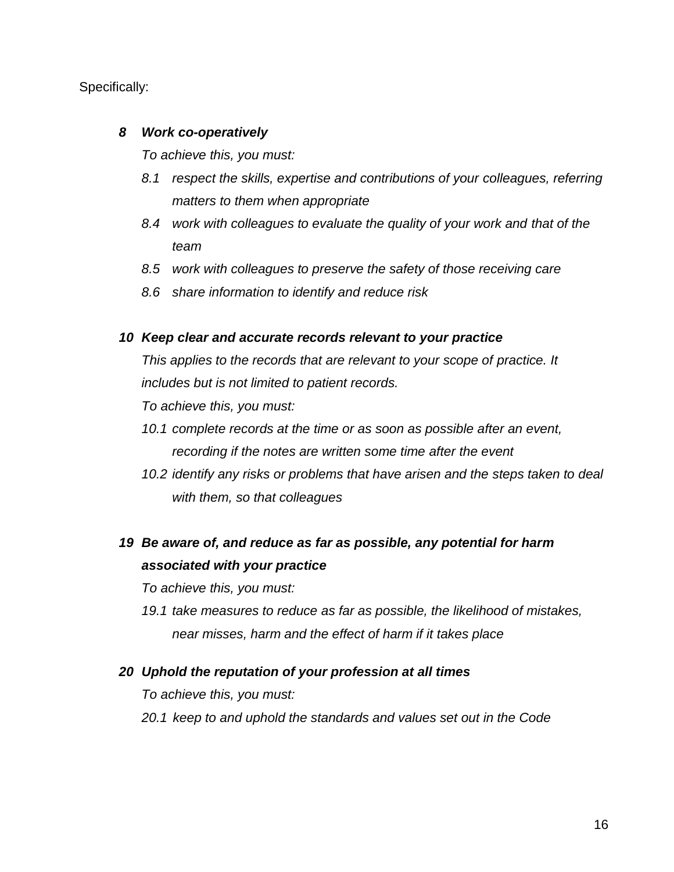Specifically:

### *8 Work co-operatively*

*To achieve this, you must:*

- *8.1 respect the skills, expertise and contributions of your colleagues, referring matters to them when appropriate*
- *8.4 work with colleagues to evaluate the quality of your work and that of the team*
- *8.5 work with colleagues to preserve the safety of those receiving care*
- *8.6 share information to identify and reduce risk*

### *10 Keep clear and accurate records relevant to your practice*

*This applies to the records that are relevant to your scope of practice. It includes but is not limited to patient records.*

*To achieve this, you must:*

- *10.1 complete records at the time or as soon as possible after an event, recording if the notes are written some time after the event*
- *10.2 identify any risks or problems that have arisen and the steps taken to deal with them, so that colleagues*

# *19 Be aware of, and reduce as far as possible, any potential for harm associated with your practice*

*To achieve this, you must:*

*19.1 take measures to reduce as far as possible, the likelihood of mistakes, near misses, harm and the effect of harm if it takes place*

#### *20 Uphold the reputation of your profession at all times*

*To achieve this, you must:*

*20.1 keep to and uphold the standards and values set out in the Code*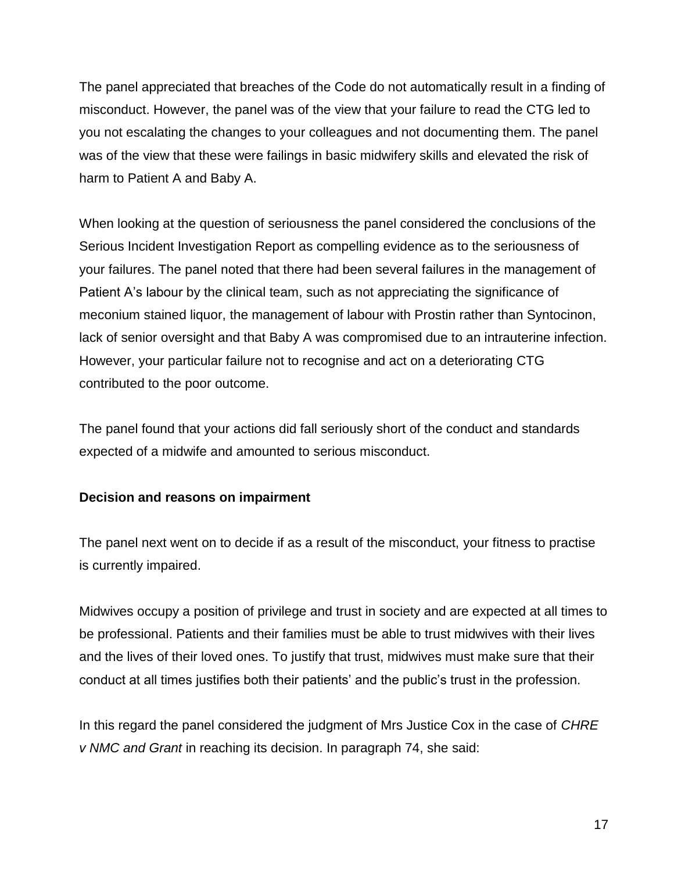The panel appreciated that breaches of the Code do not automatically result in a finding of misconduct. However, the panel was of the view that your failure to read the CTG led to you not escalating the changes to your colleagues and not documenting them. The panel was of the view that these were failings in basic midwifery skills and elevated the risk of harm to Patient A and Baby A.

When looking at the question of seriousness the panel considered the conclusions of the Serious Incident Investigation Report as compelling evidence as to the seriousness of your failures. The panel noted that there had been several failures in the management of Patient A's labour by the clinical team, such as not appreciating the significance of meconium stained liquor, the management of labour with Prostin rather than Syntocinon, lack of senior oversight and that Baby A was compromised due to an intrauterine infection. However, your particular failure not to recognise and act on a deteriorating CTG contributed to the poor outcome.

The panel found that your actions did fall seriously short of the conduct and standards expected of a midwife and amounted to serious misconduct.

#### **Decision and reasons on impairment**

The panel next went on to decide if as a result of the misconduct, your fitness to practise is currently impaired.

Midwives occupy a position of privilege and trust in society and are expected at all times to be professional. Patients and their families must be able to trust midwives with their lives and the lives of their loved ones. To justify that trust, midwives must make sure that their conduct at all times justifies both their patients' and the public's trust in the profession.

In this regard the panel considered the judgment of Mrs Justice Cox in the case of *CHRE v NMC and Grant* in reaching its decision. In paragraph 74, she said: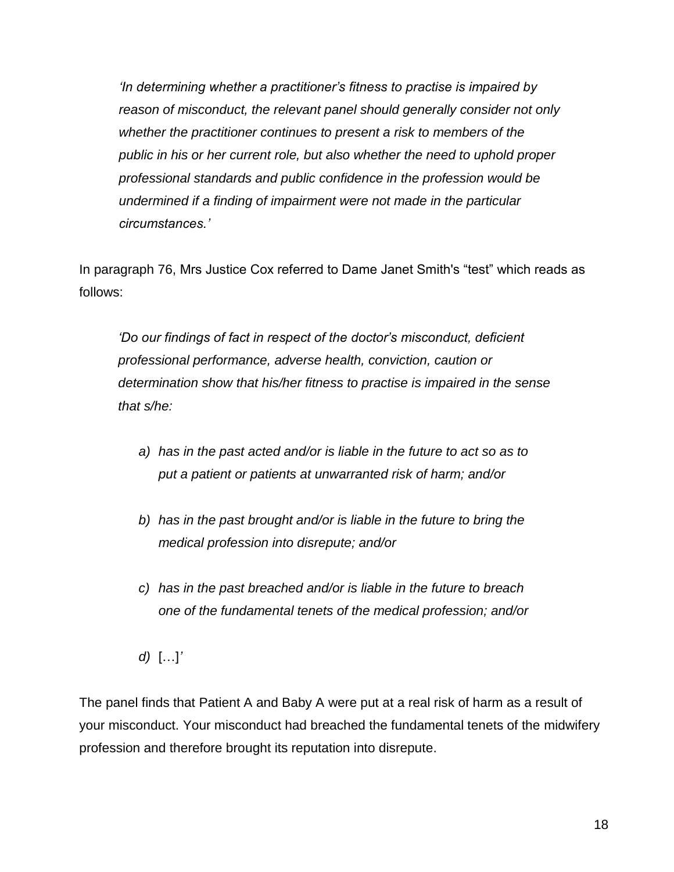*'In determining whether a practitioner's fitness to practise is impaired by reason of misconduct, the relevant panel should generally consider not only whether the practitioner continues to present a risk to members of the public in his or her current role, but also whether the need to uphold proper professional standards and public confidence in the profession would be undermined if a finding of impairment were not made in the particular circumstances.'*

In paragraph 76, Mrs Justice Cox referred to Dame Janet Smith's "test" which reads as follows:

*'Do our findings of fact in respect of the doctor's misconduct, deficient professional performance, adverse health, conviction, caution or determination show that his/her fitness to practise is impaired in the sense that s/he:*

- *a) has in the past acted and/or is liable in the future to act so as to put a patient or patients at unwarranted risk of harm; and/or*
- *b) has in the past brought and/or is liable in the future to bring the medical profession into disrepute; and/or*
- *c) has in the past breached and/or is liable in the future to breach one of the fundamental tenets of the medical profession; and/or*
- *d)* […]*'*

The panel finds that Patient A and Baby A were put at a real risk of harm as a result of your misconduct. Your misconduct had breached the fundamental tenets of the midwifery profession and therefore brought its reputation into disrepute.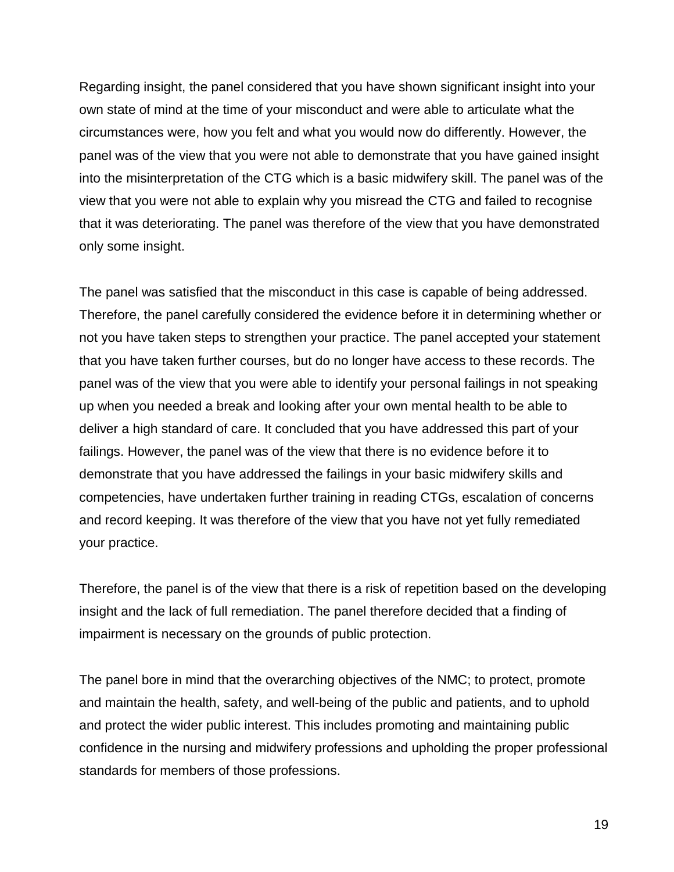Regarding insight, the panel considered that you have shown significant insight into your own state of mind at the time of your misconduct and were able to articulate what the circumstances were, how you felt and what you would now do differently. However, the panel was of the view that you were not able to demonstrate that you have gained insight into the misinterpretation of the CTG which is a basic midwifery skill. The panel was of the view that you were not able to explain why you misread the CTG and failed to recognise that it was deteriorating. The panel was therefore of the view that you have demonstrated only some insight.

The panel was satisfied that the misconduct in this case is capable of being addressed. Therefore, the panel carefully considered the evidence before it in determining whether or not you have taken steps to strengthen your practice. The panel accepted your statement that you have taken further courses, but do no longer have access to these records. The panel was of the view that you were able to identify your personal failings in not speaking up when you needed a break and looking after your own mental health to be able to deliver a high standard of care. It concluded that you have addressed this part of your failings. However, the panel was of the view that there is no evidence before it to demonstrate that you have addressed the failings in your basic midwifery skills and competencies, have undertaken further training in reading CTGs, escalation of concerns and record keeping. It was therefore of the view that you have not yet fully remediated your practice.

Therefore, the panel is of the view that there is a risk of repetition based on the developing insight and the lack of full remediation. The panel therefore decided that a finding of impairment is necessary on the grounds of public protection.

The panel bore in mind that the overarching objectives of the NMC; to protect, promote and maintain the health, safety, and well-being of the public and patients, and to uphold and protect the wider public interest. This includes promoting and maintaining public confidence in the nursing and midwifery professions and upholding the proper professional standards for members of those professions.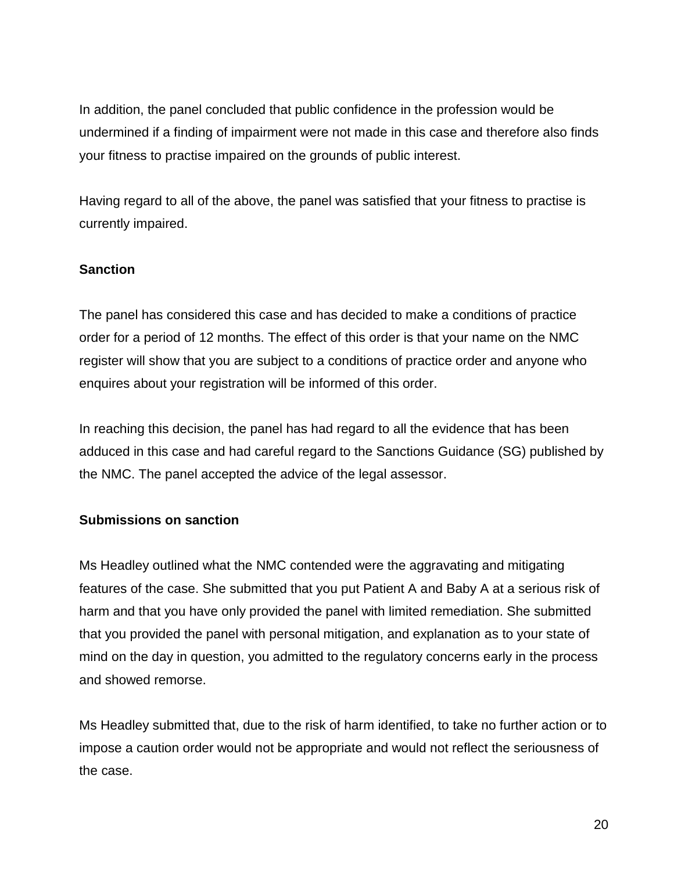In addition, the panel concluded that public confidence in the profession would be undermined if a finding of impairment were not made in this case and therefore also finds your fitness to practise impaired on the grounds of public interest.

Having regard to all of the above, the panel was satisfied that your fitness to practise is currently impaired.

### **Sanction**

The panel has considered this case and has decided to make a conditions of practice order for a period of 12 months. The effect of this order is that your name on the NMC register will show that you are subject to a conditions of practice order and anyone who enquires about your registration will be informed of this order.

In reaching this decision, the panel has had regard to all the evidence that has been adduced in this case and had careful regard to the Sanctions Guidance (SG) published by the NMC. The panel accepted the advice of the legal assessor.

## **Submissions on sanction**

Ms Headley outlined what the NMC contended were the aggravating and mitigating features of the case. She submitted that you put Patient A and Baby A at a serious risk of harm and that you have only provided the panel with limited remediation. She submitted that you provided the panel with personal mitigation, and explanation as to your state of mind on the day in question, you admitted to the regulatory concerns early in the process and showed remorse.

Ms Headley submitted that, due to the risk of harm identified, to take no further action or to impose a caution order would not be appropriate and would not reflect the seriousness of the case.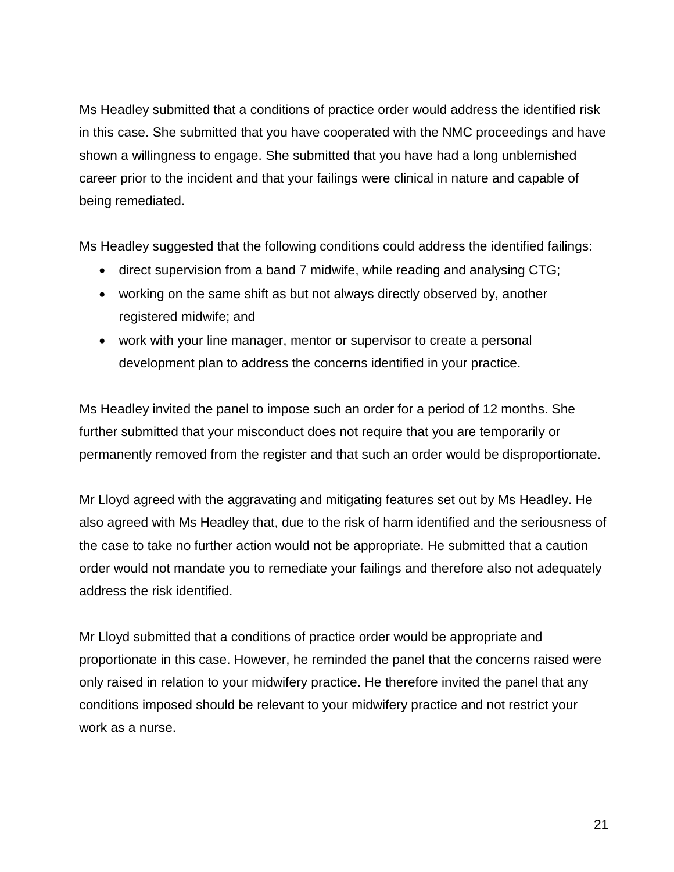Ms Headley submitted that a conditions of practice order would address the identified risk in this case. She submitted that you have cooperated with the NMC proceedings and have shown a willingness to engage. She submitted that you have had a long unblemished career prior to the incident and that your failings were clinical in nature and capable of being remediated.

Ms Headley suggested that the following conditions could address the identified failings:

- direct supervision from a band 7 midwife, while reading and analysing CTG;
- working on the same shift as but not always directly observed by, another registered midwife; and
- work with your line manager, mentor or supervisor to create a personal development plan to address the concerns identified in your practice.

Ms Headley invited the panel to impose such an order for a period of 12 months. She further submitted that your misconduct does not require that you are temporarily or permanently removed from the register and that such an order would be disproportionate.

Mr Lloyd agreed with the aggravating and mitigating features set out by Ms Headley. He also agreed with Ms Headley that, due to the risk of harm identified and the seriousness of the case to take no further action would not be appropriate. He submitted that a caution order would not mandate you to remediate your failings and therefore also not adequately address the risk identified.

Mr Lloyd submitted that a conditions of practice order would be appropriate and proportionate in this case. However, he reminded the panel that the concerns raised were only raised in relation to your midwifery practice. He therefore invited the panel that any conditions imposed should be relevant to your midwifery practice and not restrict your work as a nurse.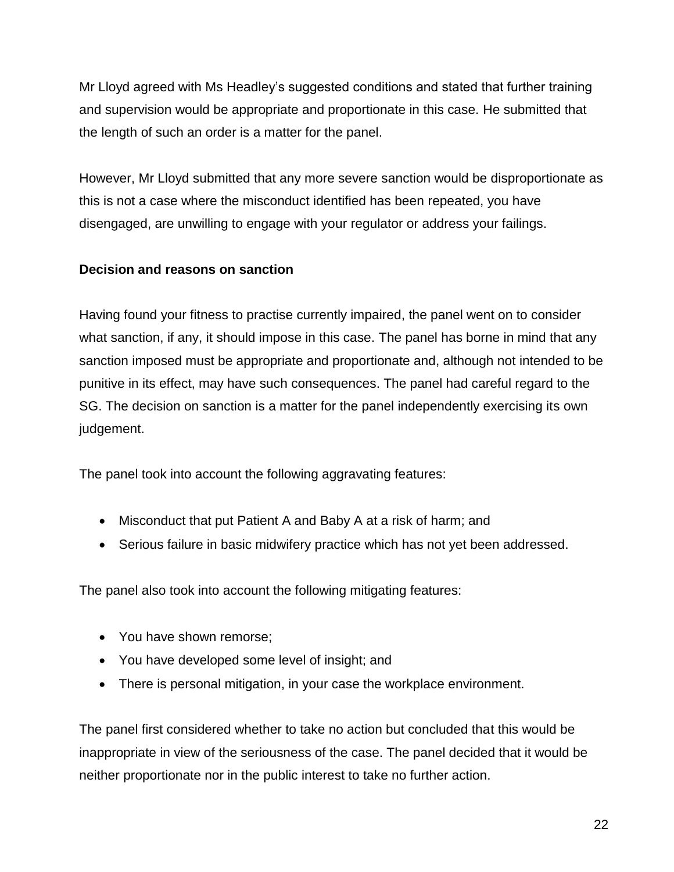Mr Lloyd agreed with Ms Headley's suggested conditions and stated that further training and supervision would be appropriate and proportionate in this case. He submitted that the length of such an order is a matter for the panel.

However, Mr Lloyd submitted that any more severe sanction would be disproportionate as this is not a case where the misconduct identified has been repeated, you have disengaged, are unwilling to engage with your regulator or address your failings.

## **Decision and reasons on sanction**

Having found your fitness to practise currently impaired, the panel went on to consider what sanction, if any, it should impose in this case. The panel has borne in mind that any sanction imposed must be appropriate and proportionate and, although not intended to be punitive in its effect, may have such consequences. The panel had careful regard to the SG. The decision on sanction is a matter for the panel independently exercising its own judgement.

The panel took into account the following aggravating features:

- Misconduct that put Patient A and Baby A at a risk of harm; and
- Serious failure in basic midwifery practice which has not yet been addressed.

The panel also took into account the following mitigating features:

- You have shown remorse;
- You have developed some level of insight; and
- There is personal mitigation, in your case the workplace environment.

The panel first considered whether to take no action but concluded that this would be inappropriate in view of the seriousness of the case. The panel decided that it would be neither proportionate nor in the public interest to take no further action.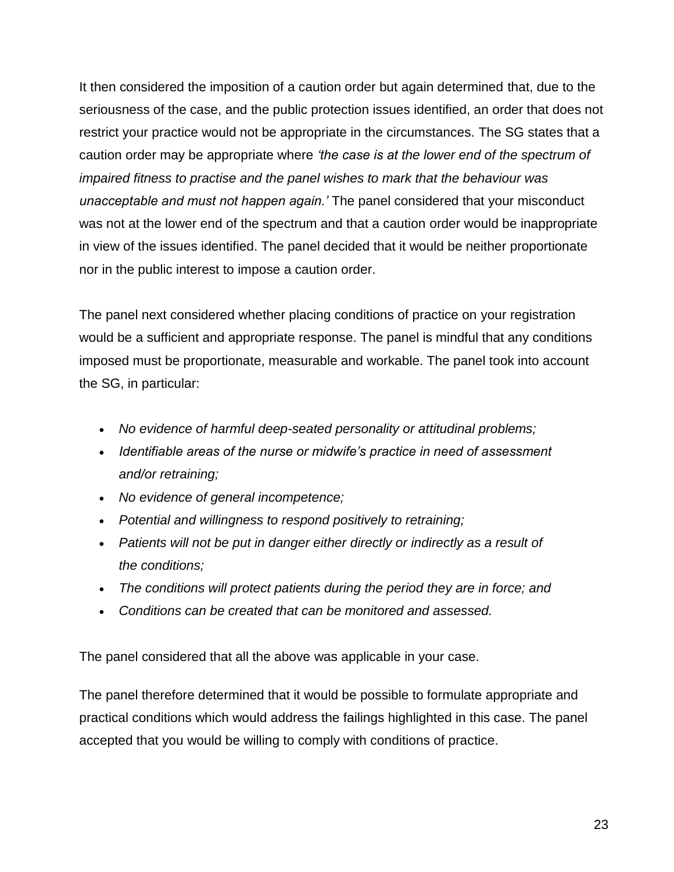It then considered the imposition of a caution order but again determined that, due to the seriousness of the case, and the public protection issues identified, an order that does not restrict your practice would not be appropriate in the circumstances. The SG states that a caution order may be appropriate where *'the case is at the lower end of the spectrum of impaired fitness to practise and the panel wishes to mark that the behaviour was unacceptable and must not happen again.'* The panel considered that your misconduct was not at the lower end of the spectrum and that a caution order would be inappropriate in view of the issues identified. The panel decided that it would be neither proportionate nor in the public interest to impose a caution order.

The panel next considered whether placing conditions of practice on your registration would be a sufficient and appropriate response. The panel is mindful that any conditions imposed must be proportionate, measurable and workable. The panel took into account the SG, in particular:

- *No evidence of harmful deep-seated personality or attitudinal problems;*
- *Identifiable areas of the nurse or midwife's practice in need of assessment and/or retraining;*
- *No evidence of general incompetence;*
- *Potential and willingness to respond positively to retraining;*
- *Patients will not be put in danger either directly or indirectly as a result of the conditions;*
- *The conditions will protect patients during the period they are in force; and*
- *Conditions can be created that can be monitored and assessed.*

The panel considered that all the above was applicable in your case.

The panel therefore determined that it would be possible to formulate appropriate and practical conditions which would address the failings highlighted in this case. The panel accepted that you would be willing to comply with conditions of practice.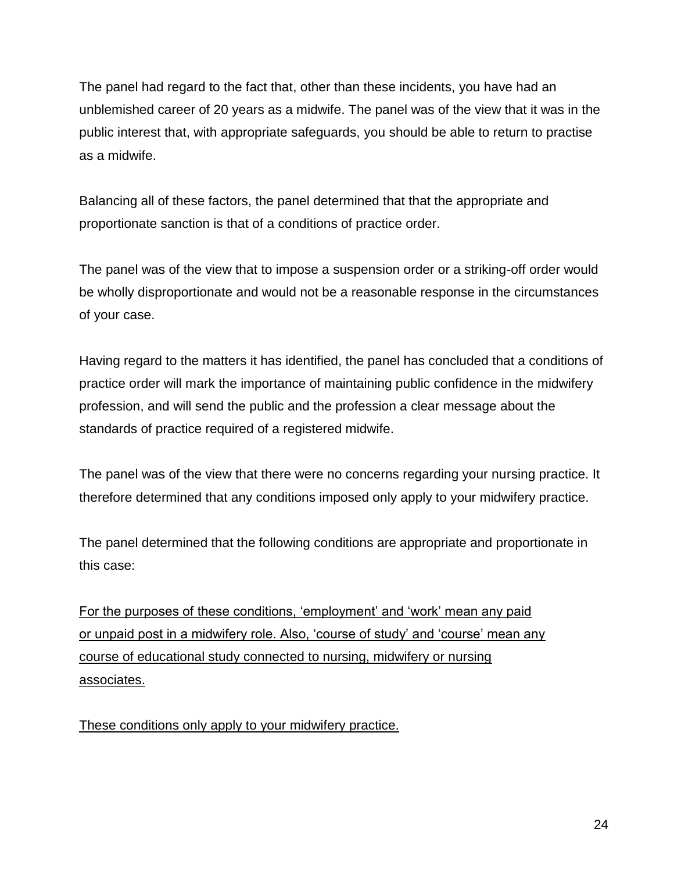The panel had regard to the fact that, other than these incidents, you have had an unblemished career of 20 years as a midwife. The panel was of the view that it was in the public interest that, with appropriate safeguards, you should be able to return to practise as a midwife.

Balancing all of these factors, the panel determined that that the appropriate and proportionate sanction is that of a conditions of practice order.

The panel was of the view that to impose a suspension order or a striking-off order would be wholly disproportionate and would not be a reasonable response in the circumstances of your case.

Having regard to the matters it has identified, the panel has concluded that a conditions of practice order will mark the importance of maintaining public confidence in the midwifery profession, and will send the public and the profession a clear message about the standards of practice required of a registered midwife.

The panel was of the view that there were no concerns regarding your nursing practice. It therefore determined that any conditions imposed only apply to your midwifery practice.

The panel determined that the following conditions are appropriate and proportionate in this case:

For the purposes of these conditions, 'employment' and 'work' mean any paid or unpaid post in a midwifery role. Also, 'course of study' and 'course' mean any course of educational study connected to nursing, midwifery or nursing associates.

These conditions only apply to your midwifery practice.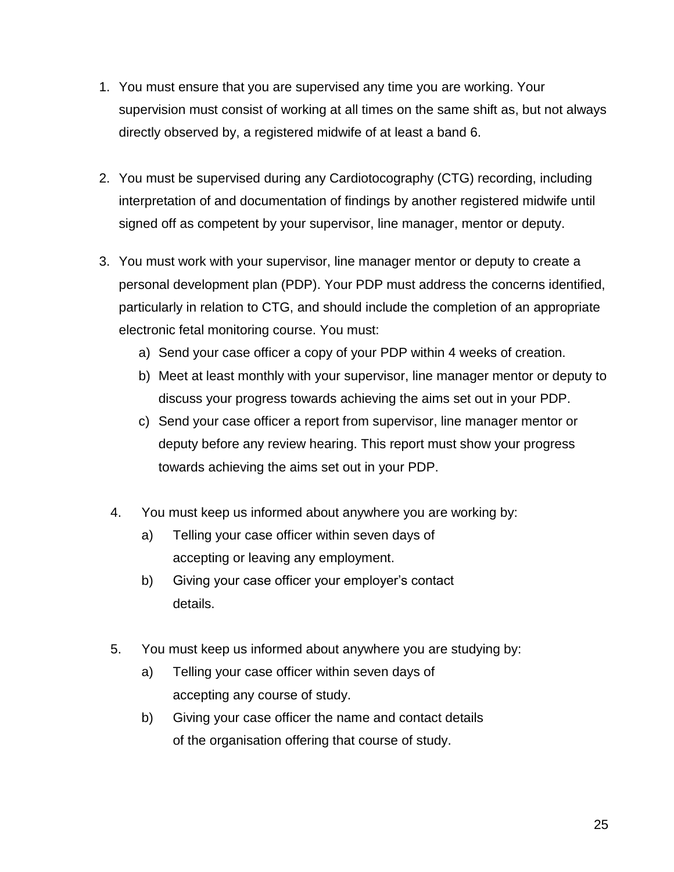- 1. You must ensure that you are supervised any time you are working. Your supervision must consist of working at all times on the same shift as, but not always directly observed by, a registered midwife of at least a band 6.
- 2. You must be supervised during any Cardiotocography (CTG) recording, including interpretation of and documentation of findings by another registered midwife until signed off as competent by your supervisor, line manager, mentor or deputy.
- 3. You must work with your supervisor, line manager mentor or deputy to create a personal development plan (PDP). Your PDP must address the concerns identified, particularly in relation to CTG, and should include the completion of an appropriate electronic fetal monitoring course. You must:
	- a) Send your case officer a copy of your PDP within 4 weeks of creation.
	- b) Meet at least monthly with your supervisor, line manager mentor or deputy to discuss your progress towards achieving the aims set out in your PDP.
	- c) Send your case officer a report from supervisor, line manager mentor or deputy before any review hearing. This report must show your progress towards achieving the aims set out in your PDP.
	- 4. You must keep us informed about anywhere you are working by:
		- a) Telling your case officer within seven days of accepting or leaving any employment.
		- b) Giving your case officer your employer's contact details.
	- 5. You must keep us informed about anywhere you are studying by:
		- a) Telling your case officer within seven days of accepting any course of study.
		- b) Giving your case officer the name and contact details of the organisation offering that course of study.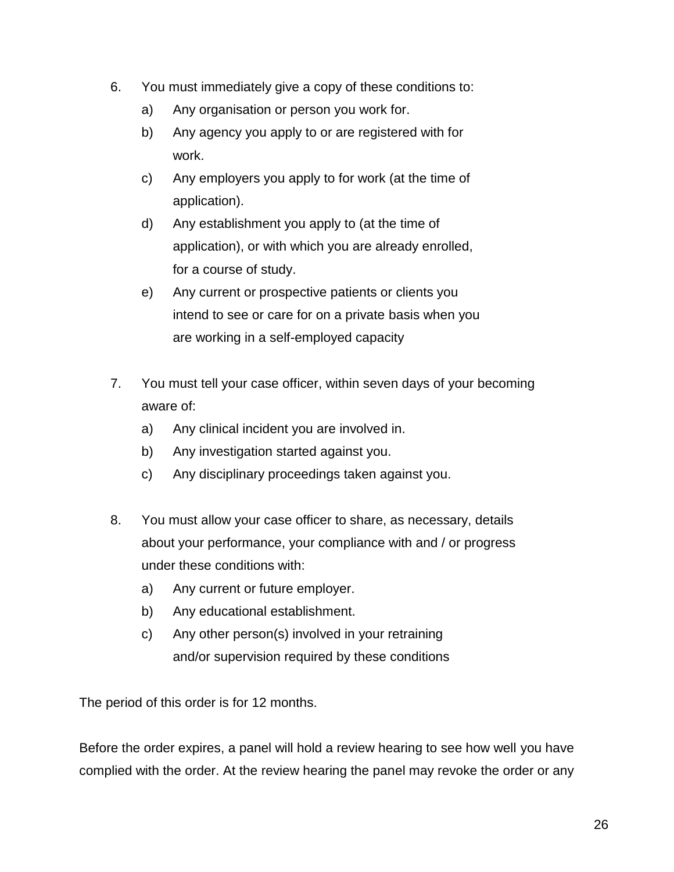- 6. You must immediately give a copy of these conditions to:
	- a) Any organisation or person you work for.
	- b) Any agency you apply to or are registered with for work.
	- c) Any employers you apply to for work (at the time of application).
	- d) Any establishment you apply to (at the time of application), or with which you are already enrolled, for a course of study.
	- e) Any current or prospective patients or clients you intend to see or care for on a private basis when you are working in a self-employed capacity
- 7. You must tell your case officer, within seven days of your becoming aware of:
	- a) Any clinical incident you are involved in.
	- b) Any investigation started against you.
	- c) Any disciplinary proceedings taken against you.
- 8. You must allow your case officer to share, as necessary, details about your performance, your compliance with and / or progress under these conditions with:
	- a) Any current or future employer.
	- b) Any educational establishment.
	- c) Any other person(s) involved in your retraining and/or supervision required by these conditions

The period of this order is for 12 months.

Before the order expires, a panel will hold a review hearing to see how well you have complied with the order. At the review hearing the panel may revoke the order or any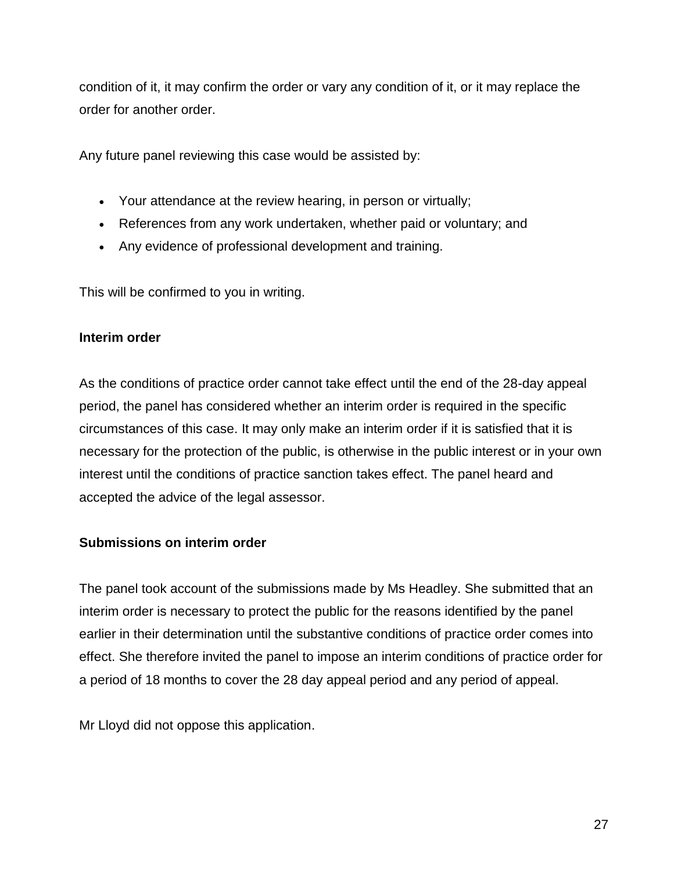condition of it, it may confirm the order or vary any condition of it, or it may replace the order for another order.

Any future panel reviewing this case would be assisted by:

- Your attendance at the review hearing, in person or virtually;
- References from any work undertaken, whether paid or voluntary; and
- Any evidence of professional development and training.

This will be confirmed to you in writing.

### **Interim order**

As the conditions of practice order cannot take effect until the end of the 28-day appeal period, the panel has considered whether an interim order is required in the specific circumstances of this case. It may only make an interim order if it is satisfied that it is necessary for the protection of the public, is otherwise in the public interest or in your own interest until the conditions of practice sanction takes effect. The panel heard and accepted the advice of the legal assessor.

### **Submissions on interim order**

The panel took account of the submissions made by Ms Headley. She submitted that an interim order is necessary to protect the public for the reasons identified by the panel earlier in their determination until the substantive conditions of practice order comes into effect. She therefore invited the panel to impose an interim conditions of practice order for a period of 18 months to cover the 28 day appeal period and any period of appeal.

Mr Lloyd did not oppose this application.